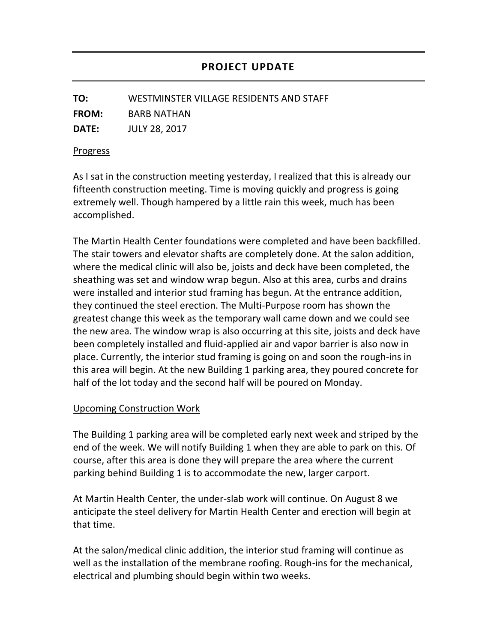**TO:** WESTMINSTER VILLAGE RESIDENTS AND STAFF

**FROM:** BARB NATHAN

**DATE:** JULY 28, 2017

## Progress

As I sat in the construction meeting yesterday, I realized that this is already our fifteenth construction meeting. Time is moving quickly and progress is going extremely well. Though hampered by a little rain this week, much has been accomplished.

The Martin Health Center foundations were completed and have been backfilled. The stair towers and elevator shafts are completely done. At the salon addition, where the medical clinic will also be, joists and deck have been completed, the sheathing was set and window wrap begun. Also at this area, curbs and drains were installed and interior stud framing has begun. At the entrance addition, they continued the steel erection. The Multi-Purpose room has shown the greatest change this week as the temporary wall came down and we could see the new area. The window wrap is also occurring at this site, joists and deck have been completely installed and fluid-applied air and vapor barrier is also now in place. Currently, the interior stud framing is going on and soon the rough-ins in this area will begin. At the new Building 1 parking area, they poured concrete for half of the lot today and the second half will be poured on Monday.

## Upcoming Construction Work

The Building 1 parking area will be completed early next week and striped by the end of the week. We will notify Building 1 when they are able to park on this. Of course, after this area is done they will prepare the area where the current parking behind Building 1 is to accommodate the new, larger carport.

At Martin Health Center, the under-slab work will continue. On August 8 we anticipate the steel delivery for Martin Health Center and erection will begin at that time.

At the salon/medical clinic addition, the interior stud framing will continue as well as the installation of the membrane roofing. Rough-ins for the mechanical, electrical and plumbing should begin within two weeks.